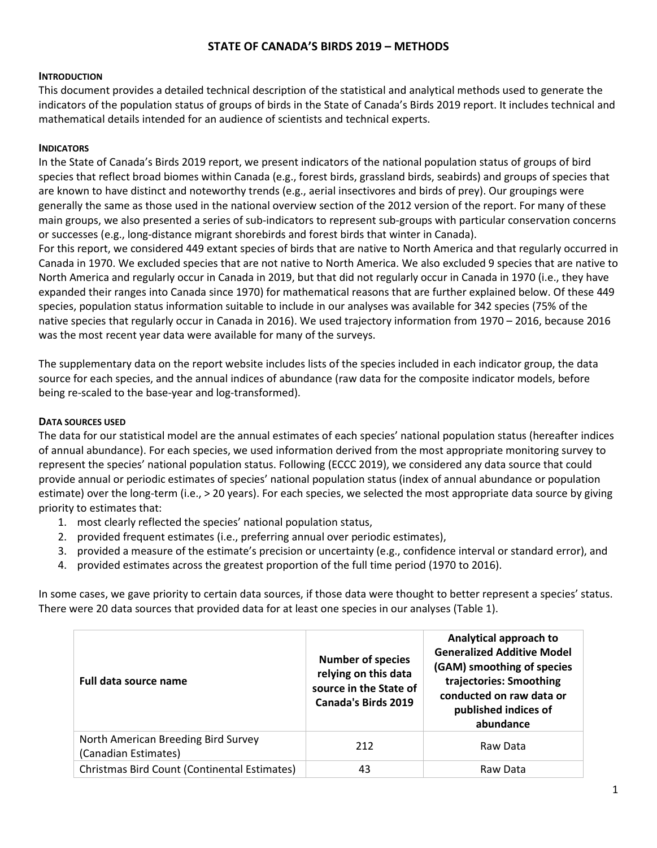# **STATE OF CANADA'S BIRDS 2019 – METHODS**

# **INTRODUCTION**

This document provides a detailed technical description of the statistical and analytical methods used to generate the indicators of the population status of groups of birds in the State of Canada's Birds 2019 report. It includes technical and mathematical details intended for an audience of scientists and technical experts.

# **INDICATORS**

In the State of Canada's Birds 2019 report, we present indicators of the national population status of groups of bird species that reflect broad biomes within Canada (e.g., forest birds, grassland birds, seabirds) and groups of species that are known to have distinct and noteworthy trends (e.g., aerial insectivores and birds of prey). Our groupings were generally the same as those used in the national overview section of the 2012 version of the report. For many of these main groups, we also presented a series of sub-indicators to represent sub-groups with particular conservation concerns or successes (e.g., long-distance migrant shorebirds and forest birds that winter in Canada).

For this report, we considered 449 extant species of birds that are native to North America and that regularly occurred in Canada in 1970. We excluded species that are not native to North America. We also excluded 9 species that are native to North America and regularly occur in Canada in 2019, but that did not regularly occur in Canada in 1970 (i.e., they have expanded their ranges into Canada since 1970) for mathematical reasons that are further explained below. Of these 449 species, population status information suitable to include in our analyses was available for 342 species (75% of the native species that regularly occur in Canada in 2016). We used trajectory information from 1970 – 2016, because 2016 was the most recent year data were available for many of the surveys.

The supplementary data on the report website includes lists of the species included in each indicator group, the data source for each species, and the annual indices of abundance (raw data for the composite indicator models, before being re-scaled to the base-year and log-transformed).

# **DATA SOURCES USED**

The data for our statistical model are the annual estimates of each species' national population status (hereafter indices of annual abundance). For each species, we used information derived from the most appropriate monitoring survey to represent the species' national population status. Following (ECCC 2019), we considered any data source that could provide annual or periodic estimates of species' national population status (index of annual abundance or population estimate) over the long-term (i.e., > 20 years). For each species, we selected the most appropriate data source by giving priority to estimates that:

- 1. most clearly reflected the species' national population status,
- 2. provided frequent estimates (i.e., preferring annual over periodic estimates),
- 3. provided a measure of the estimate's precision or uncertainty (e.g., confidence interval or standard error), and
- 4. provided estimates across the greatest proportion of the full time period (1970 to 2016).

In some cases, we gave priority to certain data sources, if those data were thought to better represent a species' status. There were 20 data sources that provided data for at least one species in our analyses (Table 1).

| Full data source name                                       | <b>Number of species</b><br>relying on this data<br>source in the State of<br><b>Canada's Birds 2019</b> | Analytical approach to<br><b>Generalized Additive Model</b><br>(GAM) smoothing of species<br>trajectories: Smoothing<br>conducted on raw data or<br>published indices of<br>abundance |
|-------------------------------------------------------------|----------------------------------------------------------------------------------------------------------|---------------------------------------------------------------------------------------------------------------------------------------------------------------------------------------|
| North American Breeding Bird Survey<br>(Canadian Estimates) | 212                                                                                                      | Raw Data                                                                                                                                                                              |
| Christmas Bird Count (Continental Estimates)                | 43                                                                                                       | Raw Data                                                                                                                                                                              |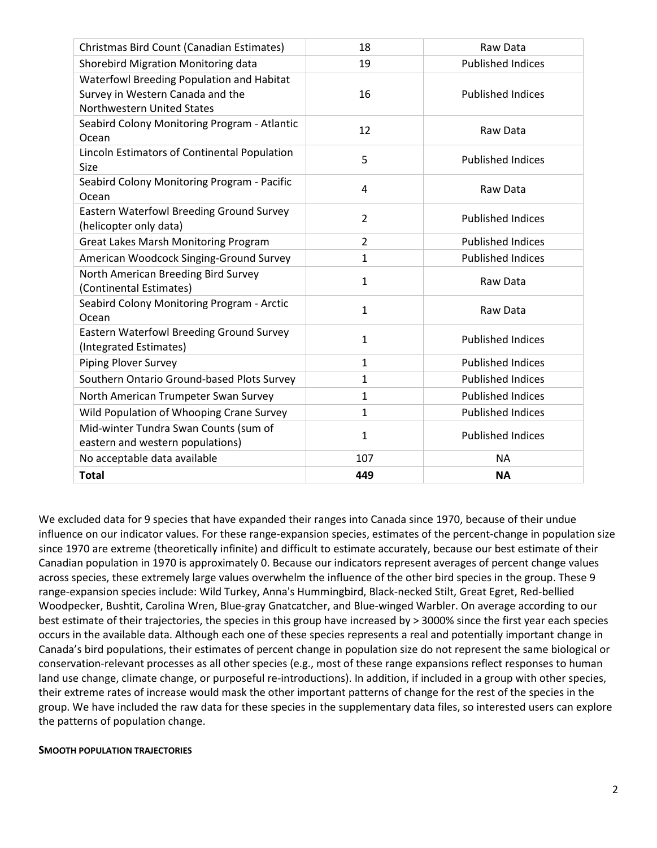| Christmas Bird Count (Canadian Estimates)                                                                   | 18             | Raw Data                 |
|-------------------------------------------------------------------------------------------------------------|----------------|--------------------------|
| Shorebird Migration Monitoring data                                                                         | 19             | <b>Published Indices</b> |
| Waterfowl Breeding Population and Habitat<br>Survey in Western Canada and the<br>Northwestern United States | 16             | <b>Published Indices</b> |
| Seabird Colony Monitoring Program - Atlantic<br>Ocean                                                       | 12             | Raw Data                 |
| Lincoln Estimators of Continental Population<br>Size                                                        | 5              | <b>Published Indices</b> |
| Seabird Colony Monitoring Program - Pacific<br>Ocean                                                        | 4              | Raw Data                 |
| Eastern Waterfowl Breeding Ground Survey<br>(helicopter only data)                                          | $\overline{2}$ | <b>Published Indices</b> |
| <b>Great Lakes Marsh Monitoring Program</b>                                                                 | $\overline{2}$ | <b>Published Indices</b> |
| American Woodcock Singing-Ground Survey                                                                     | 1              | <b>Published Indices</b> |
| North American Breeding Bird Survey<br>(Continental Estimates)                                              | $\mathbf{1}$   | Raw Data                 |
| Seabird Colony Monitoring Program - Arctic<br>Ocean                                                         | $\mathbf{1}$   | Raw Data                 |
| Eastern Waterfowl Breeding Ground Survey<br>(Integrated Estimates)                                          | $\mathbf{1}$   | <b>Published Indices</b> |
| Piping Plover Survey                                                                                        | $\mathbf{1}$   | <b>Published Indices</b> |
| Southern Ontario Ground-based Plots Survey                                                                  | $\mathbf{1}$   | <b>Published Indices</b> |
| North American Trumpeter Swan Survey                                                                        | $\mathbf{1}$   | <b>Published Indices</b> |
| Wild Population of Whooping Crane Survey                                                                    | 1              | <b>Published Indices</b> |
| Mid-winter Tundra Swan Counts (sum of<br>eastern and western populations)                                   | $\mathbf{1}$   | <b>Published Indices</b> |
| No acceptable data available                                                                                | 107            | <b>NA</b>                |
| <b>Total</b>                                                                                                | 449            | <b>NA</b>                |

We excluded data for 9 species that have expanded their ranges into Canada since 1970, because of their undue influence on our indicator values. For these range-expansion species, estimates of the percent-change in population size since 1970 are extreme (theoretically infinite) and difficult to estimate accurately, because our best estimate of their Canadian population in 1970 is approximately 0. Because our indicators represent averages of percent change values across species, these extremely large values overwhelm the influence of the other bird species in the group. These 9 range-expansion species include: Wild Turkey, Anna's Hummingbird, Black-necked Stilt, Great Egret, Red-bellied Woodpecker, Bushtit, Carolina Wren, Blue-gray Gnatcatcher, and Blue-winged Warbler. On average according to our best estimate of their trajectories, the species in this group have increased by > 3000% since the first year each species occurs in the available data. Although each one of these species represents a real and potentially important change in Canada's bird populations, their estimates of percent change in population size do not represent the same biological or conservation-relevant processes as all other species (e.g., most of these range expansions reflect responses to human land use change, climate change, or purposeful re-introductions). In addition, if included in a group with other species, their extreme rates of increase would mask the other important patterns of change for the rest of the species in the group. We have included the raw data for these species in the supplementary data files, so interested users can explore the patterns of population change.

### **SMOOTH POPULATION TRAJECTORIES**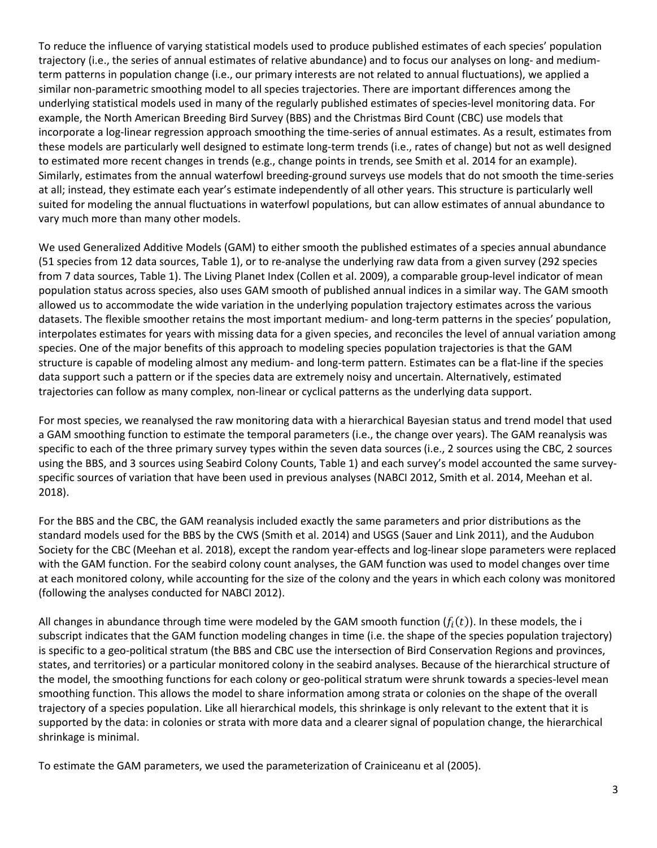To reduce the influence of varying statistical models used to produce published estimates of each species' population trajectory (i.e., the series of annual estimates of relative abundance) and to focus our analyses on long- and mediumterm patterns in population change (i.e., our primary interests are not related to annual fluctuations), we applied a similar non-parametric smoothing model to all species trajectories. There are important differences among the underlying statistical models used in many of the regularly published estimates of species-level monitoring data. For example, the North American Breeding Bird Survey (BBS) and the Christmas Bird Count (CBC) use models that incorporate a log-linear regression approach smoothing the time-series of annual estimates. As a result, estimates from these models are particularly well designed to estimate long-term trends (i.e., rates of change) but not as well designed to estimated more recent changes in trends (e.g., change points in trends, see Smith et al. 2014 for an example). Similarly, estimates from the annual waterfowl breeding-ground surveys use models that do not smooth the time-series at all; instead, they estimate each year's estimate independently of all other years. This structure is particularly well suited for modeling the annual fluctuations in waterfowl populations, but can allow estimates of annual abundance to vary much more than many other models.

We used Generalized Additive Models (GAM) to either smooth the published estimates of a species annual abundance (51 species from 12 data sources, Table 1), or to re-analyse the underlying raw data from a given survey (292 species from 7 data sources, Table 1). The Living Planet Index (Collen et al. 2009), a comparable group-level indicator of mean population status across species, also uses GAM smooth of published annual indices in a similar way. The GAM smooth allowed us to accommodate the wide variation in the underlying population trajectory estimates across the various datasets. The flexible smoother retains the most important medium- and long-term patterns in the species' population, interpolates estimates for years with missing data for a given species, and reconciles the level of annual variation among species. One of the major benefits of this approach to modeling species population trajectories is that the GAM structure is capable of modeling almost any medium- and long-term pattern. Estimates can be a flat-line if the species data support such a pattern or if the species data are extremely noisy and uncertain. Alternatively, estimated trajectories can follow as many complex, non-linear or cyclical patterns as the underlying data support.

For most species, we reanalysed the raw monitoring data with a hierarchical Bayesian status and trend model that used a GAM smoothing function to estimate the temporal parameters (i.e., the change over years). The GAM reanalysis was specific to each of the three primary survey types within the seven data sources (i.e., 2 sources using the CBC, 2 sources using the BBS, and 3 sources using Seabird Colony Counts, Table 1) and each survey's model accounted the same surveyspecific sources of variation that have been used in previous analyses (NABCI 2012, Smith et al. 2014, Meehan et al. 2018).

For the BBS and the CBC, the GAM reanalysis included exactly the same parameters and prior distributions as the standard models used for the BBS by the CWS (Smith et al. 2014) and USGS (Sauer and Link 2011), and the Audubon Society for the CBC (Meehan et al. 2018), except the random year-effects and log-linear slope parameters were replaced with the GAM function. For the seabird colony count analyses, the GAM function was used to model changes over time at each monitored colony, while accounting for the size of the colony and the years in which each colony was monitored (following the analyses conducted for NABCI 2012).

All changes in abundance through time were modeled by the GAM smooth function  $(f_i(t))$ . In these models, the i subscript indicates that the GAM function modeling changes in time (i.e. the shape of the species population trajectory) is specific to a geo-political stratum (the BBS and CBC use the intersection of Bird Conservation Regions and provinces, states, and territories) or a particular monitored colony in the seabird analyses. Because of the hierarchical structure of the model, the smoothing functions for each colony or geo-political stratum were shrunk towards a species-level mean smoothing function. This allows the model to share information among strata or colonies on the shape of the overall trajectory of a species population. Like all hierarchical models, this shrinkage is only relevant to the extent that it is supported by the data: in colonies or strata with more data and a clearer signal of population change, the hierarchical shrinkage is minimal.

To estimate the GAM parameters, we used the parameterization of Crainiceanu et al (2005).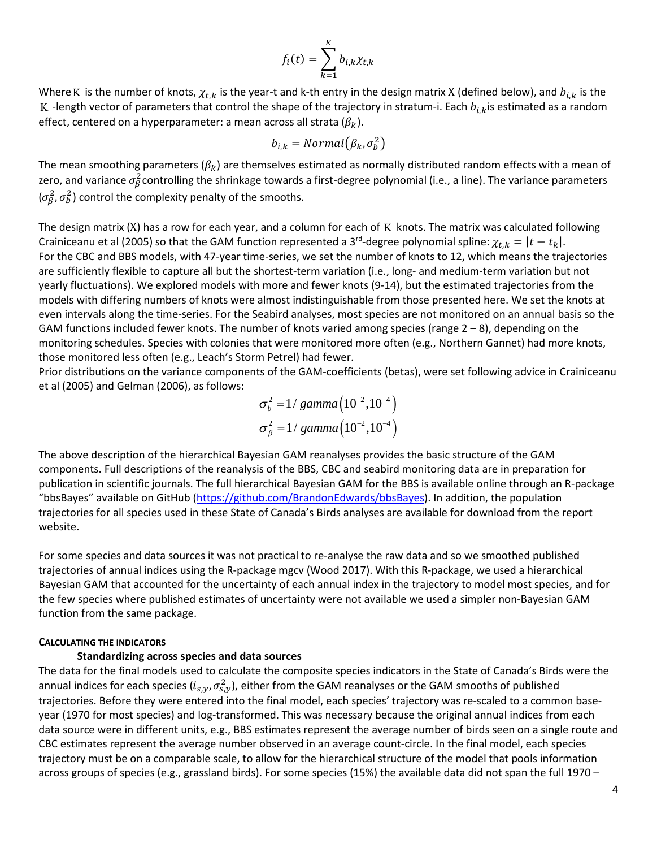$$
f_i(t) = \sum_{k=1}^K b_{i,k} \chi_{t,k}
$$

Where K is the number of knots,  $\chi_{t,k}$  is the year-t and k-th entry in the design matrix X (defined below), and  $b_{i,k}$  is the K -length vector of parameters that control the shape of the trajectory in stratum-i. Each  $b_{i,k}$ is estimated as a random effect, centered on a hyperparameter: a mean across all strata  $(\beta_k)$ .

$$
b_{i,k} = Normal(\beta_k, \sigma_b^2)
$$

The mean smoothing parameters ( $\beta_k$ ) are themselves estimated as normally distributed random effects with a mean of zero, and variance  $\sigma_\beta^2$ controlling the shrinkage towards a first-degree polynomial (i.e., a line). The variance parameters  $(\sigma_{\beta}^2, \sigma_{\beta}^2)$  control the complexity penalty of the smooths.

The design matrix (X) has a row for each year, and a column for each of  $K$  knots. The matrix was calculated following Crainiceanu et al (2005) so that the GAM function represented a 3<sup>rd</sup>-degree polynomial spline:  $\chi_{t,k}=|t-t_k|.$ For the CBC and BBS models, with 47-year time-series, we set the number of knots to 12, which means the trajectories are sufficiently flexible to capture all but the shortest-term variation (i.e., long- and medium-term variation but not yearly fluctuations). We explored models with more and fewer knots (9-14), but the estimated trajectories from the models with differing numbers of knots were almost indistinguishable from those presented here. We set the knots at even intervals along the time-series. For the Seabird analyses, most species are not monitored on an annual basis so the GAM functions included fewer knots. The number of knots varied among species (range  $2-8$ ), depending on the monitoring schedules. Species with colonies that were monitored more often (e.g., Northern Gannet) had more knots, those monitored less often (e.g., Leach's Storm Petrel) had fewer.

Prior distributions on the variance components of the GAM-coefficients (betas), were set following advice in Crainiceanu et al (2005) and Gelman (2006), as follows:

$$
\sigma_b^2 = 1/gamma(10^{-2}, 10^{-4})
$$
  
\n $\sigma_\beta^2 = 1/gamma(10^{-2}, 10^{-4})$ 

The above description of the hierarchical Bayesian GAM reanalyses provides the basic structure of the GAM components. Full descriptions of the reanalysis of the BBS, CBC and seabird monitoring data are in preparation for publication in scientific journals. The full hierarchical Bayesian GAM for the BBS is available online through an R-package "bbsBayes" available on GitHub [\(https://github.com/BrandonEdwards/bbsBayes\)](https://github.com/BrandonEdwards/bbsBayes). In addition, the population trajectories for all species used in these State of Canada's Birds analyses are available for download from the report website.

For some species and data sources it was not practical to re-analyse the raw data and so we smoothed published trajectories of annual indices using the R-package mgcv (Wood 2017). With this R-package, we used a hierarchical Bayesian GAM that accounted for the uncertainty of each annual index in the trajectory to model most species, and for the few species where published estimates of uncertainty were not available we used a simpler non-Bayesian GAM function from the same package.

### **CALCULATING THE INDICATORS**

## **Standardizing across species and data sources**

The data for the final models used to calculate the composite species indicators in the State of Canada's Birds were the annual indices for each species ( $i_{s,y}, \sigma_{s,y}^2$ ), either from the GAM reanalyses or the GAM smooths of published trajectories. Before they were entered into the final model, each species' trajectory was re-scaled to a common baseyear (1970 for most species) and log-transformed. This was necessary because the original annual indices from each data source were in different units, e.g., BBS estimates represent the average number of birds seen on a single route and CBC estimates represent the average number observed in an average count-circle. In the final model, each species trajectory must be on a comparable scale, to allow for the hierarchical structure of the model that pools information across groups of species (e.g., grassland birds). For some species (15%) the available data did not span the full 1970 –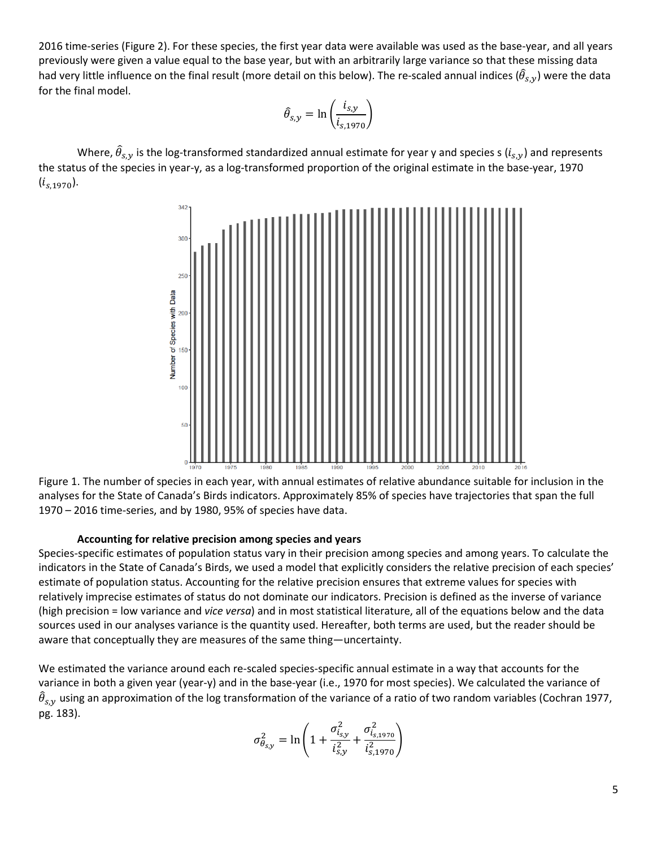2016 time-series (Figure 2). For these species, the first year data were available was used as the base-year, and all years previously were given a value equal to the base year, but with an arbitrarily large variance so that these missing data had very little influence on the final result (more detail on this below). The re-scaled annual indices ( $\hat{\theta}_{s, y}$ ) were the data for the final model.

$$
\hat{\theta}_{s,y} = \ln\left(\frac{i_{s,y}}{i_{s,1970}}\right)
$$

Where,  $\widehat{\theta}_{s,y}$  is the log-transformed standardized annual estimate for year y and species s  $(i_{s,y})$  and represents the status of the species in year-y, as a log-transformed proportion of the original estimate in the base-year, 1970  $(i_{s.1970}).$ 



Figure 1. The number of species in each year, with annual estimates of relative abundance suitable for inclusion in the analyses for the State of Canada's Birds indicators. Approximately 85% of species have trajectories that span the full 1970 – 2016 time-series, and by 1980, 95% of species have data.

### **Accounting for relative precision among species and years**

Species-specific estimates of population status vary in their precision among species and among years. To calculate the indicators in the State of Canada's Birds, we used a model that explicitly considers the relative precision of each species' estimate of population status. Accounting for the relative precision ensures that extreme values for species with relatively imprecise estimates of status do not dominate our indicators. Precision is defined as the inverse of variance (high precision = low variance and *vice versa*) and in most statistical literature, all of the equations below and the data sources used in our analyses variance is the quantity used. Hereafter, both terms are used, but the reader should be aware that conceptually they are measures of the same thing—uncertainty.

We estimated the variance around each re-scaled species-specific annual estimate in a way that accounts for the variance in both a given year (year-y) and in the base-year (i.e., 1970 for most species). We calculated the variance of  $\widehat\theta_{s,y}$  using an approximation of the log transformation of the variance of a ratio of two random variables (Cochran 1977, pg. 183).

$$
\sigma_{\theta_{S,Y}}^2 = \ln\left(1 + \frac{\sigma_{i_{S,Y}}^2}{i_{S,Y}^2} + \frac{\sigma_{i_{S,1970}}^2}{i_{S,1970}^2}\right)
$$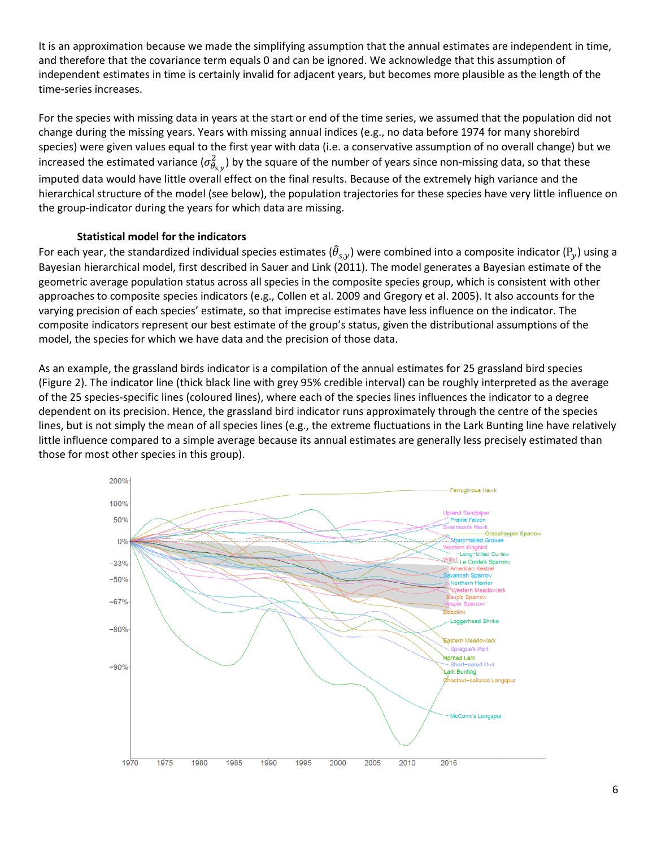It is an approximation because we made the simplifying assumption that the annual estimates are independent in time, and therefore that the covariance term equals 0 and can be ignored. We acknowledge that this assumption of independent estimates in time is certainly invalid for adjacent years, but becomes more plausible as the length of the time-series increases.

For the species with missing data in years at the start or end of the time series, we assumed that the population did not change during the missing years. Years with missing annual indices (e.g., no data before 1974 for many shorebird species) were given values equal to the first year with data (i.e. a conservative assumption of no overall change) but we increased the estimated variance ( $\sigma^2_{\theta_{s,y}}$ ) by the square of the number of years since non-missing data, so that these imputed data would have little overall effect on the final results. Because of the extremely high variance and the hierarchical structure of the model (see below), the population trajectories for these species have very little influence on the group-indicator during the years for which data are missing.

## **Statistical model for the indicators**

For each year, the standardized individual species estimates ( $\hat{\theta}_{s,y}$ ) were combined into a composite indicator ( $P_y$ ) using a Bayesian hierarchical model, first described in Sauer and Link (2011). The model generates a Bayesian estimate of the geometric average population status across all species in the composite species group, which is consistent with other approaches to composite species indicators (e.g., Collen et al. 2009 and Gregory et al. 2005). It also accounts for the varying precision of each species' estimate, so that imprecise estimates have less influence on the indicator. The composite indicators represent our best estimate of the group's status, given the distributional assumptions of the model, the species for which we have data and the precision of those data.

As an example, the grassland birds indicator is a compilation of the annual estimates for 25 grassland bird species (Figure 2). The indicator line (thick black line with grey 95% credible interval) can be roughly interpreted as the average of the 25 species-specific lines (coloured lines), where each of the species lines influences the indicator to a degree dependent on its precision. Hence, the grassland bird indicator runs approximately through the centre of the species lines, but is not simply the mean of all species lines (e.g., the extreme fluctuations in the Lark Bunting line have relatively little influence compared to a simple average because its annual estimates are generally less precisely estimated than those for most other species in this group).

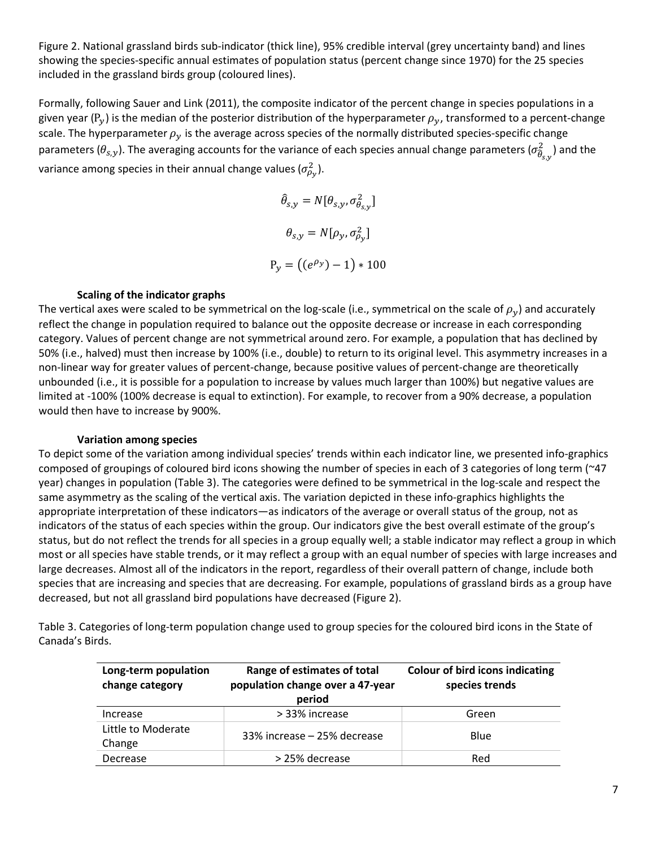Figure 2. National grassland birds sub-indicator (thick line), 95% credible interval (grey uncertainty band) and lines showing the species-specific annual estimates of population status (percent change since 1970) for the 25 species included in the grassland birds group (coloured lines).

Formally, following Sauer and Link (2011), the composite indicator of the percent change in species populations in a given year (P<sub>v</sub>) is the median of the posterior distribution of the hyperparameter  $\rho_v$ , transformed to a percent-change scale. The hyperparameter  $\rho_v$  is the average across species of the normally distributed species-specific change parameters ( $\theta_{s,y}$ ). The averaging accounts for the variance of each species annual change parameters ( $\sigma^2_{\widehat{\theta}_{s,y}}$  $\frac{2}{9}$  ) and the variance among species in their annual change values ( $\sigma_{\!\rho_{\mathrm{y}}}^2$ ).

> $\widehat{\theta}_{s,y} = N[\theta_{s,y}, \sigma^2_{\theta_{s,y}}]$  $\theta_{s,y} = N[\rho_y, \sigma_{\rho_y}^2]$  $P_y = ((e^{\rho_y}) - 1) * 100$

## **Scaling of the indicator graphs**

The vertical axes were scaled to be symmetrical on the log-scale (i.e., symmetrical on the scale of  $\rho_v$ ) and accurately reflect the change in population required to balance out the opposite decrease or increase in each corresponding category. Values of percent change are not symmetrical around zero. For example, a population that has declined by 50% (i.e., halved) must then increase by 100% (i.e., double) to return to its original level. This asymmetry increases in a non-linear way for greater values of percent-change, because positive values of percent-change are theoretically unbounded (i.e., it is possible for a population to increase by values much larger than 100%) but negative values are limited at -100% (100% decrease is equal to extinction). For example, to recover from a 90% decrease, a population would then have to increase by 900%.

### **Variation among species**

To depict some of the variation among individual species' trends within each indicator line, we presented info-graphics composed of groupings of coloured bird icons showing the number of species in each of 3 categories of long term (~47 year) changes in population (Table 3). The categories were defined to be symmetrical in the log-scale and respect the same asymmetry as the scaling of the vertical axis. The variation depicted in these info-graphics highlights the appropriate interpretation of these indicators—as indicators of the average or overall status of the group, not as indicators of the status of each species within the group. Our indicators give the best overall estimate of the group's status, but do not reflect the trends for all species in a group equally well; a stable indicator may reflect a group in which most or all species have stable trends, or it may reflect a group with an equal number of species with large increases and large decreases. Almost all of the indicators in the report, regardless of their overall pattern of change, include both species that are increasing and species that are decreasing. For example, populations of grassland birds as a group have decreased, but not all grassland bird populations have decreased (Figure 2).

Table 3. Categories of long-term population change used to group species for the coloured bird icons in the State of Canada's Birds.

| Long-term population<br>change category | Range of estimates of total<br>population change over a 47-year<br>period | <b>Colour of bird icons indicating</b><br>species trends |
|-----------------------------------------|---------------------------------------------------------------------------|----------------------------------------------------------|
| Increase                                | > 33% increase                                                            | Green                                                    |
| Little to Moderate<br>Change            | 33% increase - 25% decrease                                               | Blue                                                     |
| Decrease                                | > 25% decrease                                                            | Red                                                      |